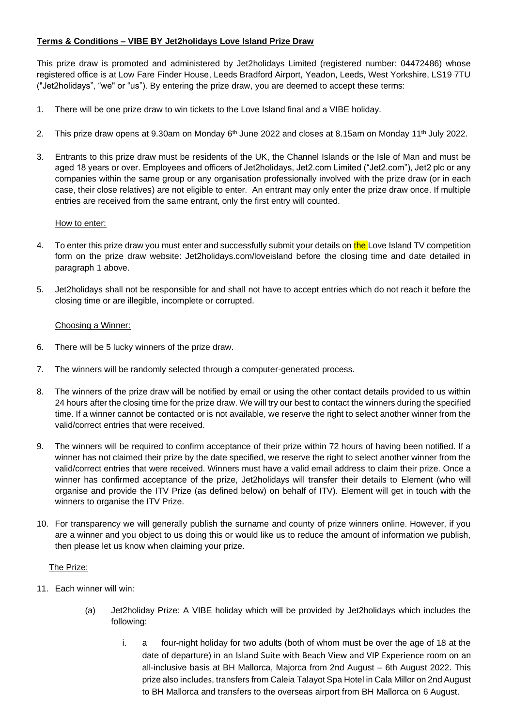# **Terms & Conditions – VIBE BY Jet2holidays Love Island Prize Draw**

This prize draw is promoted and administered by Jet2holidays Limited (registered number: 04472486) whose registered office is at Low Fare Finder House, Leeds Bradford Airport, Yeadon, Leeds, West Yorkshire, LS19 7TU ("Jet2holidays", "we" or "us"). By entering the prize draw, you are deemed to accept these terms:

- 1. There will be one prize draw to win tickets to the Love Island final and a VIBE holiday.
- 2. This prize draw opens at 9.30am on Monday 6<sup>th</sup> June 2022 and closes at 8.15am on Monday 11<sup>th</sup> July 2022.
- 3. Entrants to this prize draw must be residents of the UK, the Channel Islands or the Isle of Man and must be aged 18 years or over. Employees and officers of Jet2holidays, Jet2.com Limited ("Jet2.com"), Jet2 plc or any companies within the same group or any organisation professionally involved with the prize draw (or in each case, their close relatives) are not eligible to enter. An entrant may only enter the prize draw once. If multiple entries are received from the same entrant, only the first entry will counted.

## How to enter:

- 4. To enter this prize draw you must enter and successfully submit your details on the Love Island TV competition form on the prize draw website: Jet2holidays.com/loveisland before the closing time and date detailed in paragraph 1 above.
- 5. Jet2holidays shall not be responsible for and shall not have to accept entries which do not reach it before the closing time or are illegible, incomplete or corrupted.

## Choosing a Winner:

- 6. There will be 5 lucky winners of the prize draw.
- 7. The winners will be randomly selected through a computer-generated process.
- 8. The winners of the prize draw will be notified by email or using the other contact details provided to us within 24 hours after the closing time for the prize draw. We will try our best to contact the winners during the specified time. If a winner cannot be contacted or is not available, we reserve the right to select another winner from the valid/correct entries that were received.
- 9. The winners will be required to confirm acceptance of their prize within 72 hours of having been notified. If a winner has not claimed their prize by the date specified, we reserve the right to select another winner from the valid/correct entries that were received. Winners must have a valid email address to claim their prize. Once a winner has confirmed acceptance of the prize, Jet2holidays will transfer their details to Element (who will organise and provide the ITV Prize (as defined below) on behalf of ITV). Element will get in touch with the winners to organise the ITV Prize.
- 10. For transparency we will generally publish the surname and county of prize winners online. However, if you are a winner and you object to us doing this or would like us to reduce the amount of information we publish, then please let us know when claiming your prize.

## The Prize:

- 11. Each winner will win:
	- (a) Jet2holiday Prize: A VIBE holiday which will be provided by Jet2holidays which includes the following:
		- i. a four-night holiday for two adults (both of whom must be over the age of 18 at the date of departure) in an Island Suite with Beach View and VIP Experience room on an all-inclusive basis at BH Mallorca, Majorca from 2nd August – 6th August 2022. This prize alsoincludes, transfers fro[m Caleia Talayot Spa Hotel](https://www.caleiatalayotspahotel.com/) in Cala Millor on 2nd August to BH Mallorca and transfers to the overseas airport from BH Mallorca on 6 August.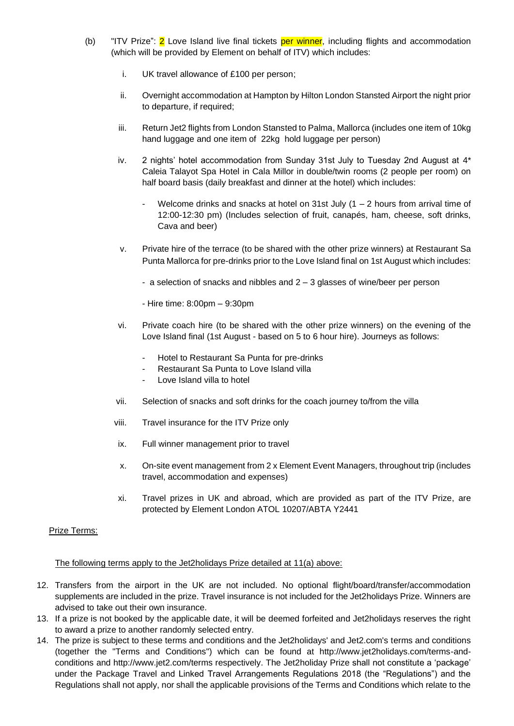- (b) "ITV Prize": 2 Love Island live final tickets per winner, including flights and accommodation (which will be provided by Element on behalf of ITV) which includes:
	- i. UK travel allowance of £100 per person;
	- ii. Overnight accommodation at Hampton by Hilton London Stansted Airport the night prior to departure, if required:
	- iii. Return Jet2 flights from London Stansted to Palma, Mallorca (includes one item of 10kg hand luggage and one item of 22kg hold luggage per person)
	- iv. 2 nights' hotel accommodation from Sunday 31st July to Tuesday 2nd August at [4\\*](https://www.caleiatalayotspahotel.com/)  [Caleia Talayot Spa Hotel](https://www.caleiatalayotspahotel.com/) in Cala Millor in double/twin rooms (2 people per room) on half board basis (daily breakfast and dinner at the hotel) which includes:
		- Welcome drinks and snacks at hotel on 31st July (1 2 hours from arrival time of 12:00-12:30 pm) (Includes selection of fruit, canapés, ham, cheese, soft drinks, Cava and beer)
	- v. Private hire of the terrace (to be shared with the other prize winners) at Restaurant Sa Punta Mallorca for pre-drinks prior to the Love Island final on 1st August which includes:
		- a selection of snacks and nibbles and 2 3 glasses of wine/beer per person
		- Hire time: 8:00pm 9:30pm
	- vi. Private coach hire (to be shared with the other prize winners) on the evening of the Love Island final (1st August - based on 5 to 6 hour hire). Journeys as follows:
		- Hotel to Restaurant Sa Punta for pre-drinks
		- Restaurant Sa Punta to Love Island villa
		- Love Island villa to hotel
	- vii. Selection of snacks and soft drinks for the coach journey to/from the villa
	- viii. Travel insurance for the ITV Prize only
	- ix. Full winner management prior to travel
	- x. On-site event management from 2 x Element Event Managers, throughout trip (includes travel, accommodation and expenses)
	- xi. Travel prizes in UK and abroad, which are provided as part of the ITV Prize, are protected by Element London ATOL 10207/ABTA Y2441

## Prize Terms:

#### The following terms apply to the Jet2holidays Prize detailed at 11(a) above:

- 12. Transfers from the airport in the UK are not included. No optional flight/board/transfer/accommodation supplements are included in the prize. Travel insurance is not included for the Jet2holidays Prize. Winners are advised to take out their own insurance.
- 13. If a prize is not booked by the applicable date, it will be deemed forfeited and Jet2holidays reserves the right to award a prize to another randomly selected entry.
- 14. The prize is subject to these terms and conditions and the Jet2holidays' and Jet2.com's terms and conditions (together the "Terms and Conditions") which can be found at http://www.jet2holidays.com/terms-andconditions and http://www.jet2.com/terms respectively. The Jet2holiday Prize shall not constitute a 'package' under the Package Travel and Linked Travel Arrangements Regulations 2018 (the "Regulations") and the Regulations shall not apply, nor shall the applicable provisions of the Terms and Conditions which relate to the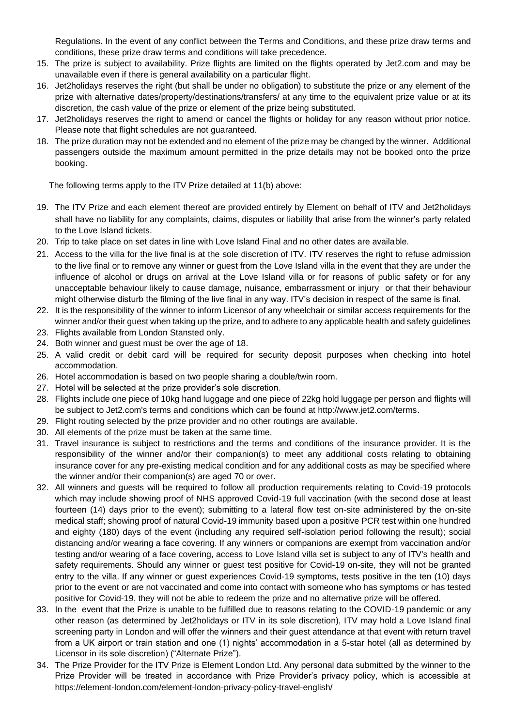Regulations. In the event of any conflict between the Terms and Conditions, and these prize draw terms and conditions, these prize draw terms and conditions will take precedence.

- 15. The prize is subject to availability. Prize flights are limited on the flights operated by Jet2.com and may be unavailable even if there is general availability on a particular flight.
- 16. Jet2holidays reserves the right (but shall be under no obligation) to substitute the prize or any element of the prize with alternative dates/property/destinations/transfers/ at any time to the equivalent prize value or at its discretion, the cash value of the prize or element of the prize being substituted.
- 17. Jet2holidays reserves the right to amend or cancel the flights or holiday for any reason without prior notice. Please note that flight schedules are not guaranteed.
- 18. The prize duration may not be extended and no element of the prize may be changed by the winner. Additional passengers outside the maximum amount permitted in the prize details may not be booked onto the prize booking.

# The following terms apply to the ITV Prize detailed at 11(b) above:

- 19. The ITV Prize and each element thereof are provided entirely by Element on behalf of ITV and Jet2holidays shall have no liability for any complaints, claims, disputes or liability that arise from the winner's party related to the Love Island tickets.
- 20. Trip to take place on set dates in line with Love Island Final and no other dates are available.
- 21. Access to the villa for the live final is at the sole discretion of ITV. ITV reserves the right to refuse admission to the live final or to remove any winner or guest from the Love Island villa in the event that they are under the influence of alcohol or drugs on arrival at the Love Island villa or for reasons of public safety or for any unacceptable behaviour likely to cause damage, nuisance, embarrassment or injury or that their behaviour might otherwise disturb the filming of the live final in any way. ITV's decision in respect of the same is final.
- 22. It is the responsibility of the winner to inform Licensor of any wheelchair or similar access requirements for the winner and/or their guest when taking up the prize, and to adhere to any applicable health and safety guidelines
- 23. Flights available from London Stansted only. 24. Both winner and guest must be over the age of 18.
- 25. A valid credit or debit card will be required for security deposit purposes when checking into hotel accommodation.
- 26. Hotel accommodation is based on two people sharing a double/twin room.
- 27. Hotel will be selected at the prize provider's sole discretion.
- 28. Flights include one piece of 10kg hand luggage and one piece of 22kg hold luggage per person and flights will be subject to Jet2.com's terms and conditions which can be found at http://www.jet2.com/terms.
- 29. Flight routing selected by the prize provider and no other routings are available.
- 30. All elements of the prize must be taken at the same time.
- 31. Travel insurance is subject to restrictions and the terms and conditions of the insurance provider. It is the responsibility of the winner and/or their companion(s) to meet any additional costs relating to obtaining insurance cover for any pre-existing medical condition and for any additional costs as may be specified where the winner and/or their companion(s) are aged 70 or over.
- 32. All winners and guests will be required to follow all production requirements relating to Covid-19 protocols which may include showing proof of NHS approved Covid-19 full vaccination (with the second dose at least fourteen (14) days prior to the event); submitting to a lateral flow test on-site administered by the on-site medical staff; showing proof of natural Covid-19 immunity based upon a positive PCR test within one hundred and eighty (180) days of the event (including any required self-isolation period following the result); social distancing and/or wearing a face covering. If any winners or companions are exempt from vaccination and/or testing and/or wearing of a face covering, access to Love Island villa set is subject to any of ITV's health and safety requirements. Should any winner or guest test positive for Covid-19 on-site, they will not be granted entry to the villa. If any winner or guest experiences Covid-19 symptoms, tests positive in the ten (10) days prior to the event or are not vaccinated and come into contact with someone who has symptoms or has tested positive for Covid-19, they will not be able to redeem the prize and no alternative prize will be offered.
- 33. In the event that the Prize is unable to be fulfilled due to reasons relating to the COVID-19 pandemic or any other reason (as determined by Jet2holidays or ITV in its sole discretion), ITV may hold a Love Island final screening party in London and will offer the winners and their guest attendance at that event with return travel from a UK airport or train station and one (1) nights' accommodation in a 5-star hotel (all as determined by Licensor in its sole discretion) ("Alternate Prize").
- 34. The Prize Provider for the ITV Prize is Element London Ltd. Any personal data submitted by the winner to the Prize Provider will be treated in accordance with Prize Provider's privacy policy, which is accessible at <https://element-london.com/element-london-privacy-policy-travel-english/>